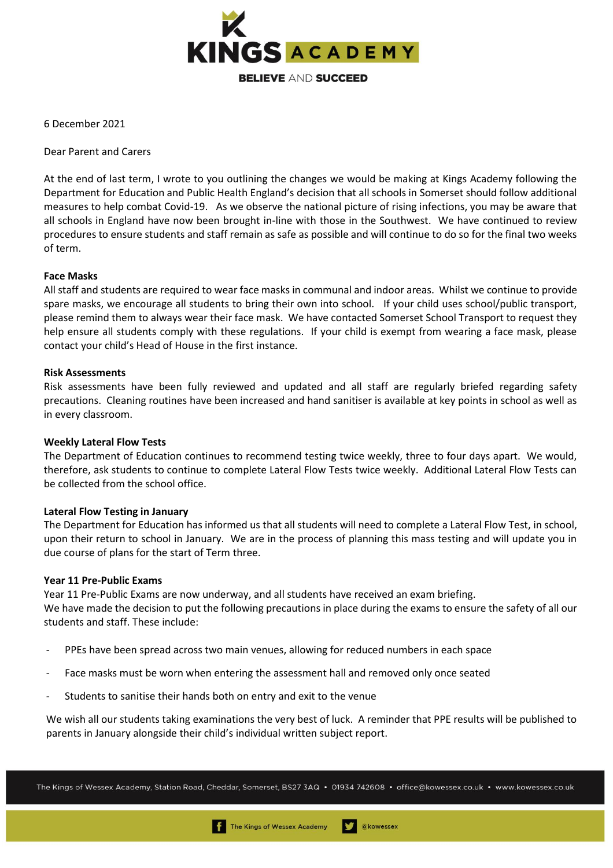

6 December 2021

Dear Parent and Carers

At the end of last term, I wrote to you outlining the changes we would be making at Kings Academy following the Department for Education and Public Health England's decision that all schools in Somerset should follow additional measures to help combat Covid-19. As we observe the national picture of rising infections, you may be aware that all schools in England have now been brought in-line with those in the Southwest. We have continued to review procedures to ensure students and staff remain as safe as possible and will continue to do so for the final two weeks of term.

## **Face Masks**

All staff and students are required to wear face masks in communal and indoor areas. Whilst we continue to provide spare masks, we encourage all students to bring their own into school. If your child uses school/public transport, please remind them to always wear their face mask. We have contacted Somerset School Transport to request they help ensure all students comply with these regulations. If your child is exempt from wearing a face mask, please contact your child's Head of House in the first instance.

### **Risk Assessments**

Risk assessments have been fully reviewed and updated and all staff are regularly briefed regarding safety precautions. Cleaning routines have been increased and hand sanitiser is available at key points in school as well as in every classroom.

# **Weekly Lateral Flow Tests**

The Department of Education continues to recommend testing twice weekly, three to four days apart. We would, therefore, ask students to continue to complete Lateral Flow Tests twice weekly. Additional Lateral Flow Tests can be collected from the school office.

### **Lateral Flow Testing in January**

The Department for Education has informed us that all students will need to complete a Lateral Flow Test, in school, upon their return to school in January. We are in the process of planning this mass testing and will update you in due course of plans for the start of Term three.

### **Year 11 Pre-Public Exams**

Year 11 Pre-Public Exams are now underway, and all students have received an exam briefing. We have made the decision to put the following precautions in place during the exams to ensure the safety of all our students and staff. These include:

- PPEs have been spread across two main venues, allowing for reduced numbers in each space
- Face masks must be worn when entering the assessment hall and removed only once seated
- Students to sanitise their hands both on entry and exit to the venue

We wish all our students taking examinations the very best of luck. A reminder that PPE results will be published to parents in January alongside their child's individual written subject report.

The Kings of Wessex Academy, Station Road, Cheddar, Somerset, BS27 3AQ • 01934 742608 • office@kowessex.co.uk • www.kowessex.co.uk